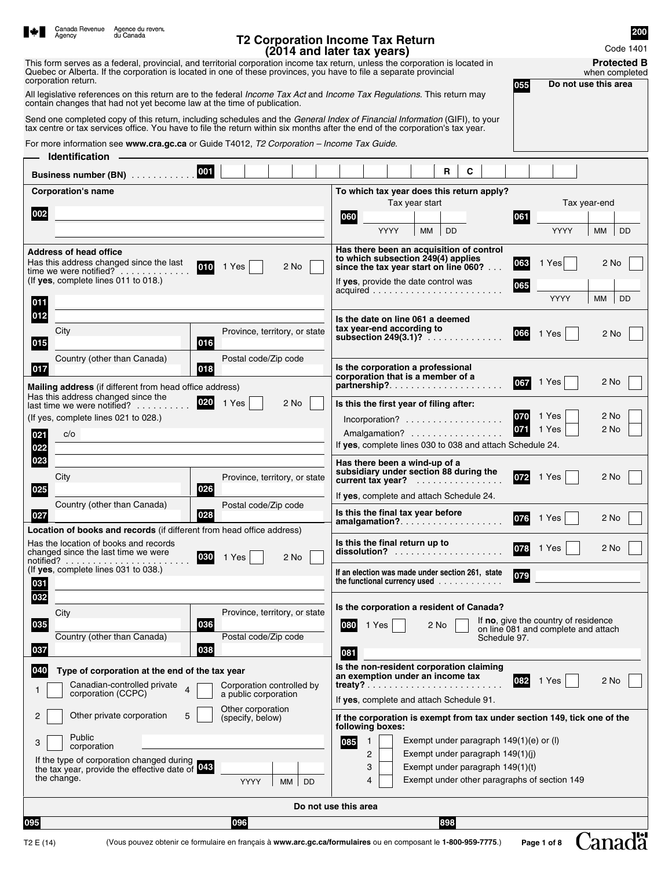|                       | Agency                               | Canada Revenue Agence du revenu<br>du Canada                                                                          |                                                                                           | <b>T2 Corporation Income Tax Return</b>                                                                                                                                                                                                                     | 200                                                                         |
|-----------------------|--------------------------------------|-----------------------------------------------------------------------------------------------------------------------|-------------------------------------------------------------------------------------------|-------------------------------------------------------------------------------------------------------------------------------------------------------------------------------------------------------------------------------------------------------------|-----------------------------------------------------------------------------|
|                       |                                      |                                                                                                                       |                                                                                           | (2014 and later tax years)<br>This form serves as a federal, provincial, and territorial corporation income tax return, unless the corporation is located in                                                                                                | Code 1401<br><b>Protected B</b>                                             |
|                       | corporation return.                  |                                                                                                                       |                                                                                           | Quebec or Alberta. If the corporation is located in one of these provinces, you have to file a separate provincial<br>055                                                                                                                                   | when completed<br>Do not use this area                                      |
|                       |                                      | contain changes that had not yet become law at the time of publication.                                               |                                                                                           | All legislative references on this return are to the federal <i>Income Tax Act</i> and <i>Income Tax Regulations</i> . This return may                                                                                                                      |                                                                             |
|                       |                                      |                                                                                                                       |                                                                                           | Send one completed copy of this return, including schedules and the General Index of Financial Information (GIFI), to your<br>tax centre or tax services office. You have to file the return within six months after the end of the corporation's tax year. |                                                                             |
|                       | <b>Identification</b>                |                                                                                                                       | For more information see www.cra.gc.ca or Guide T4012, T2 Corporation - Income Tax Guide. |                                                                                                                                                                                                                                                             |                                                                             |
|                       |                                      | 001<br>Business number (BN)                                                                                           |                                                                                           | C<br>$\mathbf{R}$                                                                                                                                                                                                                                           |                                                                             |
|                       | <b>Corporation's name</b>            |                                                                                                                       |                                                                                           | To which tax year does this return apply?                                                                                                                                                                                                                   |                                                                             |
| 002                   |                                      |                                                                                                                       |                                                                                           | Tax year start<br>060<br>061                                                                                                                                                                                                                                | Tax year-end                                                                |
|                       |                                      |                                                                                                                       |                                                                                           | <b>YYYY</b><br>MM<br><b>DD</b>                                                                                                                                                                                                                              | <b>YYYY</b><br>МM<br>DD                                                     |
|                       | <b>Address of head office</b>        | Has this address changed since the last                                                                               |                                                                                           | Has there been an acquisition of control<br>to which subsection 249(4) applies<br>063                                                                                                                                                                       | 1 Yes<br>2 No                                                               |
|                       | (If yes, complete lines 011 to 018.) | 010<br>time we were notified? $\ldots$                                                                                | 1 Yes<br>2 No                                                                             | since the tax year start on line 060?                                                                                                                                                                                                                       |                                                                             |
| 011                   |                                      |                                                                                                                       |                                                                                           | If yes, provide the date control was<br>065                                                                                                                                                                                                                 | <b>YYYY</b><br>ΜМ<br>DD                                                     |
| 012                   |                                      |                                                                                                                       |                                                                                           | Is the date on line 061 a deemed                                                                                                                                                                                                                            |                                                                             |
| 015                   | City                                 | 016                                                                                                                   | Province, territory, or state                                                             | tax year-end according to<br> 066 <br>subsection $249(3.1)$ ?                                                                                                                                                                                               | 1 Yes<br>2 No                                                               |
|                       |                                      | Country (other than Canada)                                                                                           | Postal code/Zip code                                                                      | Is the corporation a professional                                                                                                                                                                                                                           |                                                                             |
| 017                   |                                      | 018                                                                                                                   |                                                                                           | corporation that is a member of a<br>067<br>partnership?                                                                                                                                                                                                    | 1 Yes<br>2 No                                                               |
|                       |                                      | Mailing address (if different from head office address)<br>Has this address changed since the<br>020                  |                                                                                           |                                                                                                                                                                                                                                                             |                                                                             |
|                       | (If yes, complete lines 021 to 028.) | last time we were notified?                                                                                           | 1 Yes<br>2 No                                                                             | Is this the first year of filing after:<br>070<br>Incorporation?                                                                                                                                                                                            | 1 Yes<br>2 No                                                               |
| 021                   | c/o                                  |                                                                                                                       |                                                                                           | 071<br>Amalgamation?                                                                                                                                                                                                                                        | 2 No<br>1 Yes                                                               |
| 022                   |                                      |                                                                                                                       |                                                                                           | If yes, complete lines 030 to 038 and attach Schedule 24.                                                                                                                                                                                                   |                                                                             |
| 023                   |                                      |                                                                                                                       |                                                                                           | Has there been a wind-up of a                                                                                                                                                                                                                               |                                                                             |
| 025                   | City                                 | 026                                                                                                                   | Province, territory, or state                                                             | subsidiary under section 88 during the<br>072<br>current tax year?<br>.                                                                                                                                                                                     | 1 Yes<br>2 No                                                               |
|                       |                                      | Country (other than Canada)                                                                                           | Postal code/Zip code                                                                      | If yes, complete and attach Schedule 24.                                                                                                                                                                                                                    |                                                                             |
| 027                   |                                      | 028                                                                                                                   |                                                                                           | Is this the final tax year before<br> 076 <br>amalgamation?                                                                                                                                                                                                 | $\Box$<br>2 No<br>1 Yes                                                     |
|                       |                                      | <b>Location of books and records</b> (if different from head office address)<br>Has the location of books and records |                                                                                           | Is this the final return up to                                                                                                                                                                                                                              |                                                                             |
|                       |                                      | changed since the last time we were<br>030                                                                            | 1 Yes<br>2 No                                                                             | 078<br>dissolution?                                                                                                                                                                                                                                         | 1 Yes<br>2 No                                                               |
|                       | (If yes, complete lines 031 to 038.) |                                                                                                                       |                                                                                           | If an election was made under section 261, state<br>079                                                                                                                                                                                                     |                                                                             |
| 031<br>032            |                                      |                                                                                                                       |                                                                                           | the functional currency used $\ldots$                                                                                                                                                                                                                       |                                                                             |
|                       | City                                 |                                                                                                                       | Province, territory, or state                                                             | Is the corporation a resident of Canada?                                                                                                                                                                                                                    |                                                                             |
| 035                   |                                      | 036                                                                                                                   |                                                                                           | 080<br>1 Yes<br>2 No                                                                                                                                                                                                                                        | If no, give the country of residence<br>on line 081 and complete and attach |
| 037                   |                                      | Country (other than Canada)<br>038                                                                                    | Postal code/Zip code                                                                      | Schedule 97.                                                                                                                                                                                                                                                |                                                                             |
|                       |                                      |                                                                                                                       |                                                                                           | 081<br>Is the non-resident corporation claiming                                                                                                                                                                                                             |                                                                             |
| 040                   |                                      | Type of corporation at the end of the tax year<br>Canadian-controlled private                                         | Corporation controlled by                                                                 | an exemption under an income tax<br>082                                                                                                                                                                                                                     | 1 Yes<br>2 No                                                               |
|                       | corporation (CCPC)                   | 4                                                                                                                     | a public corporation<br>Other corporation                                                 | If yes, complete and attach Schedule 91.                                                                                                                                                                                                                    |                                                                             |
| 2                     |                                      | 5<br>Other private corporation                                                                                        | (specify, below)                                                                          | If the corporation is exempt from tax under section 149, tick one of the<br>following boxes:                                                                                                                                                                |                                                                             |
| 3                     | Public<br>corporation                |                                                                                                                       |                                                                                           | Exempt under paragraph $149(1)(e)$ or (I)<br>085<br>1                                                                                                                                                                                                       |                                                                             |
|                       |                                      | If the type of corporation changed during<br>the tax year, provide the effective date of 048                          |                                                                                           | 2<br>Exempt under paragraph 149(1)(j)<br>3<br>Exempt under paragraph 149(1)(t)                                                                                                                                                                              |                                                                             |
|                       | the change.                          |                                                                                                                       | <b>DD</b><br><b>YYYY</b><br>MM                                                            | Exempt under other paragraphs of section 149<br>4                                                                                                                                                                                                           |                                                                             |
|                       |                                      |                                                                                                                       |                                                                                           | Do not use this area                                                                                                                                                                                                                                        |                                                                             |
| 095                   |                                      |                                                                                                                       | 096                                                                                       | 898                                                                                                                                                                                                                                                         |                                                                             |
| T <sub>2</sub> E (14) |                                      |                                                                                                                       |                                                                                           | (Vous pouvez obtenir ce formulaire en français à www.arc.gc.ca/formulaires ou en composant le 1-800-959-7775.)                                                                                                                                              | <b>Lanada</b><br>Page 1 of 8                                                |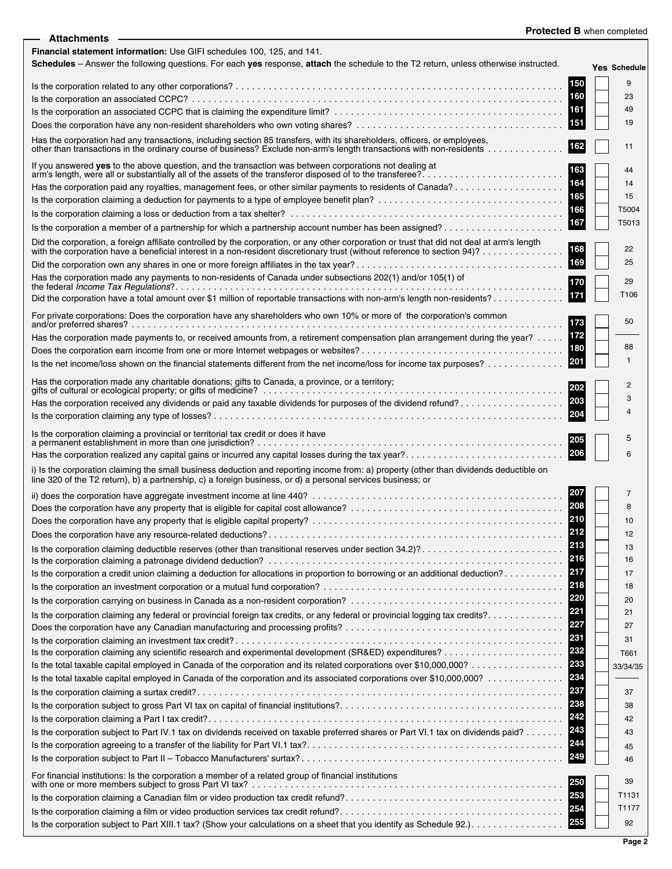| <b>Protected B</b> when completed |  |  |  |
|-----------------------------------|--|--|--|
|-----------------------------------|--|--|--|

| - Attachments                                                                                                                                                                                                                                         |            | <b>Protected B when completed</b> |
|-------------------------------------------------------------------------------------------------------------------------------------------------------------------------------------------------------------------------------------------------------|------------|-----------------------------------|
| Financial statement information: Use GIFI schedules 100, 125, and 141.<br>Schedules - Answer the following questions. For each ves response, attach the schedule to the T2 return, unless otherwise instructed.                                       |            | <b>Yes Schedule</b>               |
|                                                                                                                                                                                                                                                       | 150        | 9                                 |
|                                                                                                                                                                                                                                                       | 160        | 23                                |
|                                                                                                                                                                                                                                                       | 161        | 49                                |
|                                                                                                                                                                                                                                                       | 151        | 19                                |
| Has the corporation had any transactions, including section 85 transfers, with its shareholders, officers, or employees,                                                                                                                              | 162        | 11                                |
| If you answered yes to the above question, and the transaction was between corporations not dealing at<br>arm's length, were all or substantially all of the assets of the transferor disposed of to the transferee?                                  | 164        | 44<br>14                          |
|                                                                                                                                                                                                                                                       | 165        | 15                                |
|                                                                                                                                                                                                                                                       | 166        | T5004                             |
|                                                                                                                                                                                                                                                       | 167        | T5013                             |
|                                                                                                                                                                                                                                                       |            |                                   |
| Did the corporation, a foreign affiliate controlled by the corporation, or any other corporation or trust that did not deal at arm's length with the corporation have a beneficial interest in a non-resident discretionary tr                        | 168<br>169 | 22<br>25                          |
| Has the corporation made any payments to non-residents of Canada under subsections 202(1) and/or 105(1) of                                                                                                                                            |            |                                   |
| Did the corporation have a total amount over \$1 million of reportable transactions with non-arm's length non-residents?                                                                                                                              |            | 29<br>T106                        |
| For private corporations: Does the corporation have any shareholders who own 10% or more of the corporation's common                                                                                                                                  |            |                                   |
|                                                                                                                                                                                                                                                       | 173        | 50                                |
| Has the corporation made payments to, or received amounts from, a retirement compensation plan arrangement during the year?                                                                                                                           | 172<br>180 | 88                                |
|                                                                                                                                                                                                                                                       | 201        | 1                                 |
|                                                                                                                                                                                                                                                       |            |                                   |
| Has the corporation made any charitable donations; gifts to Canada, a province, or a territory;                                                                                                                                                       |            | 2                                 |
| Has the corporation received any dividends or paid any taxable dividends for purposes of the dividend refund?                                                                                                                                         | 203        | 3                                 |
|                                                                                                                                                                                                                                                       | 204        |                                   |
| Is the corporation claiming a provincial or territorial tax credit or does it have                                                                                                                                                                    |            | 5                                 |
| Has the corporation realized any capital gains or incurred any capital losses during the tax year?                                                                                                                                                    | 206        | 6                                 |
| i) Is the corporation claiming the small business deduction and reporting income from: a) property (other than dividends deductible on<br>line 320 of the T2 return), b) a partnership, c) a foreign business, or d) a personal services business; or |            |                                   |
|                                                                                                                                                                                                                                                       | 207        | 7                                 |
|                                                                                                                                                                                                                                                       | 208        |                                   |
|                                                                                                                                                                                                                                                       |            | 10                                |
|                                                                                                                                                                                                                                                       | 212<br>213 | 12                                |
|                                                                                                                                                                                                                                                       | 216        | 13<br>16                          |
| Is the corporation a credit union claiming a deduction for allocations in proportion to borrowing or an additional deduction?                                                                                                                         | 217        | 17                                |
|                                                                                                                                                                                                                                                       | 218        | 18                                |
|                                                                                                                                                                                                                                                       | 220        | 20                                |
| Is the corporation claiming any federal or provincial foreign tax credits, or any federal or provincial logging tax credits?                                                                                                                          | 221        | 21                                |
|                                                                                                                                                                                                                                                       | 227        | 27                                |
|                                                                                                                                                                                                                                                       | 231        | 31                                |
|                                                                                                                                                                                                                                                       | 232        | T661                              |
|                                                                                                                                                                                                                                                       | 233        | 33/34/35                          |
| Is the total taxable capital employed in Canada of the corporation and its associated corporations over \$10,000,000?                                                                                                                                 | 234        |                                   |
|                                                                                                                                                                                                                                                       | 237<br>238 | 37                                |
|                                                                                                                                                                                                                                                       | 242        | 38<br>42                          |
| Is the corporation subject to Part IV.1 tax on dividends received on taxable preferred shares or Part VI.1 tax on dividends paid?                                                                                                                     | 243        | 43                                |
|                                                                                                                                                                                                                                                       | 244        | 45                                |
|                                                                                                                                                                                                                                                       | 249        | 46                                |
| For financial institutions: Is the corporation a member of a related group of financial institutions                                                                                                                                                  | 250        | 39                                |
|                                                                                                                                                                                                                                                       | 253        | T1131                             |
|                                                                                                                                                                                                                                                       | 254        | T1177                             |
|                                                                                                                                                                                                                                                       | 255        | 92                                |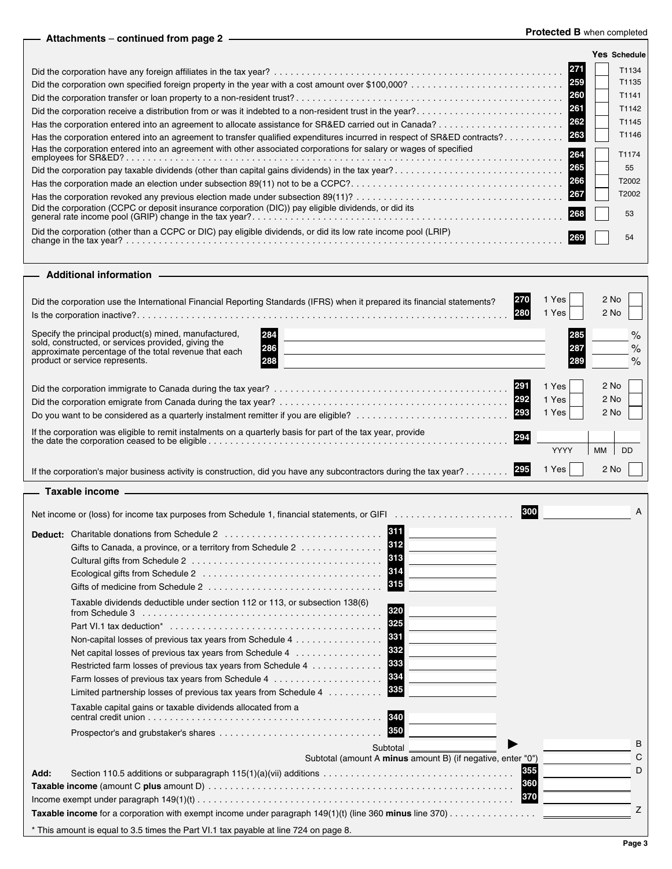## **Protected B** when completed **Attachments** – **continued from page 2**

|                                                                                                                          |      | Yes Schedule |       |
|--------------------------------------------------------------------------------------------------------------------------|------|--------------|-------|
|                                                                                                                          | 27   |              | T1134 |
|                                                                                                                          | 259  |              | T1135 |
|                                                                                                                          | 260  |              | T1141 |
| Did the corporation receive a distribution from or was it indebted to a non-resident trust in the year?                  | 261  |              | T1142 |
| Has the corporation entered into an agreement to allocate assistance for SR&ED carried out in Canada?                    | 262  |              | T1145 |
| Has the corporation entered into an agreement to transfer qualified expenditures incurred in respect of SR&ED contracts? | 263  |              | T1146 |
| Has the corporation entered into an agreement with other associated corporations for salary or wages of specified        | I264 |              | T1174 |
| Did the corporation pay taxable dividends (other than capital gains dividends) in the tax year?                          | 265  |              | 55    |
|                                                                                                                          | 266  |              | T2002 |
|                                                                                                                          | 267  |              | T2002 |
| Did the corporation (CCPC or deposit insurance corporation (DIC)) pay eligible dividends, or did its                     | 268  | 53           |       |
| Did the corporation (other than a CCPC or DIC) pay eligible dividends, or did its low rate income pool (LRIP)            |      | 54           |       |
|                                                                                                                          |      |              |       |

## **Additional information** L,

| 1270<br>Did the corporation use the International Financial Reporting Standards (IFRS) when it prepared its financial statements?                                                                                             | 1 Yes<br>1 Yes          | 2 No<br>2 No           |
|-------------------------------------------------------------------------------------------------------------------------------------------------------------------------------------------------------------------------------|-------------------------|------------------------|
| Specify the principal product(s) mined, manufactured,<br>I284<br>sold, constructed, or services provided, giving the<br>286<br>approximate percentage of the total revenue that each<br>product or service represents.<br>288 | 285<br>287              | $\%$<br>$\%$<br>$\%$   |
| 291<br>292<br> 293<br>Do you want to be considered as a quarterly instalment remitter if you are eligible?                                                                                                                    | 1 Yes<br>1 Yes<br>1 Yes | 2 No<br>$2$ No<br>2 No |
| If the corporation was eligible to remit instalments on a quarterly basis for part of the tax year, provide<br>294                                                                                                            | YYYY                    | <b>DD</b><br><b>MM</b> |
| If the corporation's major business activity is construction, did you have any subcontractors during the tax year?                                                                                                            | Yes                     | 2 No                   |
| — Taxable income                                                                                                                                                                                                              |                         |                        |

|      | 300<br>Net income or (loss) for income tax purposes from Schedule 1, financial statements, or GIFI                                                                                                                                                                                                                                                                                                          | A      |
|------|-------------------------------------------------------------------------------------------------------------------------------------------------------------------------------------------------------------------------------------------------------------------------------------------------------------------------------------------------------------------------------------------------------------|--------|
|      | 611<br><b>Deduct:</b> Charitable donations from Schedule 2<br>312<br>Gifts to Canada, a province, or a territory from Schedule 2<br> 313 <br>315<br>Gifts of medicine from Schedule 2 $\ldots$ , $\ldots$ , $\ldots$ , $\ldots$ , $\ldots$ , $\ldots$ , $\ldots$ , $\ldots$                                                                                                                                 |        |
|      | Taxable dividends deductible under section 112 or 113, or subsection 138(6)<br>320<br>from Schedule 3<br>325<br>331<br>Non-capital losses of previous tax years from Schedule 4<br>332<br>Net capital losses of previous tax years from Schedule 4<br>333<br>Restricted farm losses of previous tax years from Schedule 4<br>334<br>335<br>Limited partnership losses of previous tax years from Schedule 4 |        |
|      | Taxable capital gains or taxable dividends allocated from a<br>340<br>350                                                                                                                                                                                                                                                                                                                                   |        |
|      | Subtotal                                                                                                                                                                                                                                                                                                                                                                                                    | B<br>С |
| Add: | Subtotal (amount A minus amount B) (if negative, enter "0")<br>355<br>360<br> 370                                                                                                                                                                                                                                                                                                                           | D      |
|      | Taxable income for a corporation with exempt income under paragraph 149(1)(t) (line 360 minus line 370)                                                                                                                                                                                                                                                                                                     | Z      |
|      | * This amount is equal to 3.5 times the Part VI.1 tax payable at line 724 on page 8.                                                                                                                                                                                                                                                                                                                        |        |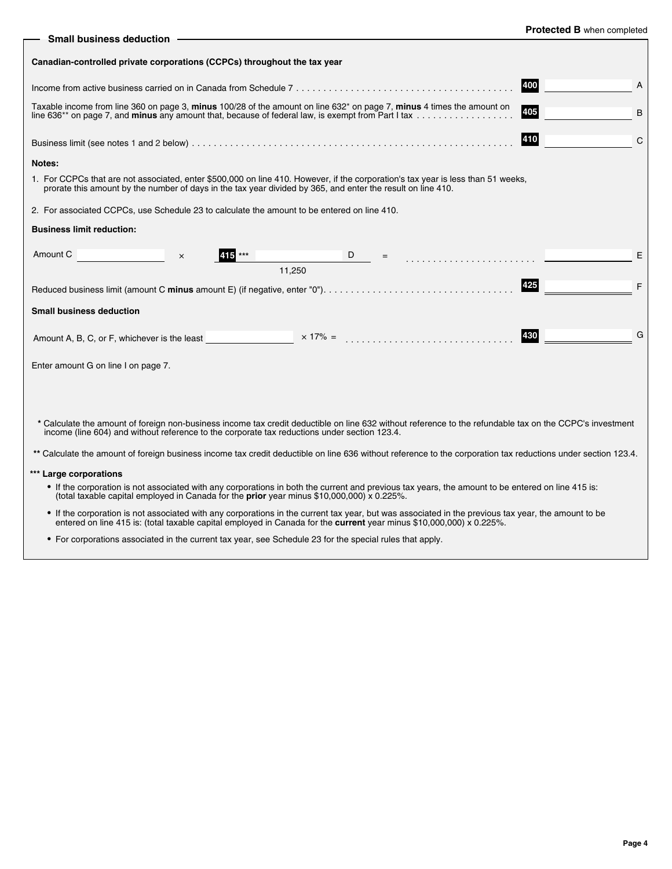| <b>Protected B</b> when completed |  |  |  |
|-----------------------------------|--|--|--|
|-----------------------------------|--|--|--|

| <b>Small business deduction</b>                                                                                                                                                                                                                                                    | $\mathbf{C}$        |
|------------------------------------------------------------------------------------------------------------------------------------------------------------------------------------------------------------------------------------------------------------------------------------|---------------------|
| Canadian-controlled private corporations (CCPCs) throughout the tax year                                                                                                                                                                                                           |                     |
|                                                                                                                                                                                                                                                                                    | 400<br>A            |
| Taxable income from line 360 on page 3, minus 100/28 of the amount on line 632 <sup>*</sup> on page 7, minus 4 times the amount on                                                                                                                                                 | 405<br>B            |
|                                                                                                                                                                                                                                                                                    | 410<br>$\mathsf{C}$ |
| Notes:                                                                                                                                                                                                                                                                             |                     |
| 1. For CCPCs that are not associated, enter \$500,000 on line 410. However, if the corporation's tax year is less than 51 weeks,<br>prorate this amount by the number of days in the tax year divided by 365, and enter the result on line 410.                                    |                     |
| 2. For associated CCPCs, use Schedule 23 to calculate the amount to be entered on line 410.                                                                                                                                                                                        |                     |
| <b>Business limit reduction:</b>                                                                                                                                                                                                                                                   |                     |
| Amount C<br>415 ***<br>D<br>$\times$<br>11,250                                                                                                                                                                                                                                     | E                   |
|                                                                                                                                                                                                                                                                                    | 425<br>F            |
| <b>Small business deduction</b>                                                                                                                                                                                                                                                    |                     |
|                                                                                                                                                                                                                                                                                    | G<br>430            |
| Enter amount G on line I on page 7.                                                                                                                                                                                                                                                |                     |
|                                                                                                                                                                                                                                                                                    |                     |
| * Calculate the amount of foreign non-business income tax credit deductible on line 632 without reference to the refundable tax on the CCPC's investment<br>income (line 604) and without reference to the corporate tax reductions under section 123.4.                           |                     |
| ** Calculate the amount of foreign business income tax credit deductible on line 636 without reference to the corporation tax reductions under section 123.4.                                                                                                                      |                     |
| *** Large corporations                                                                                                                                                                                                                                                             |                     |
| • If the corporation is not associated with any corporations in both the current and previous tax years, the amount to be entered on line 415 is:<br>(total taxable capital employed in Canada for the prior year minus \$10,000,000) x 0.225%.                                    |                     |
| . If the corporation is not associated with any corporations in the current tax year, but was associated in the previous tax year, the amount to be<br>entered on line 415 is: (total taxable capital employed in Canada for the <b>current</b> year minus \$10,000,000) x 0.225%. |                     |

• For corporations associated in the current tax year, see Schedule 23 for the special rules that apply.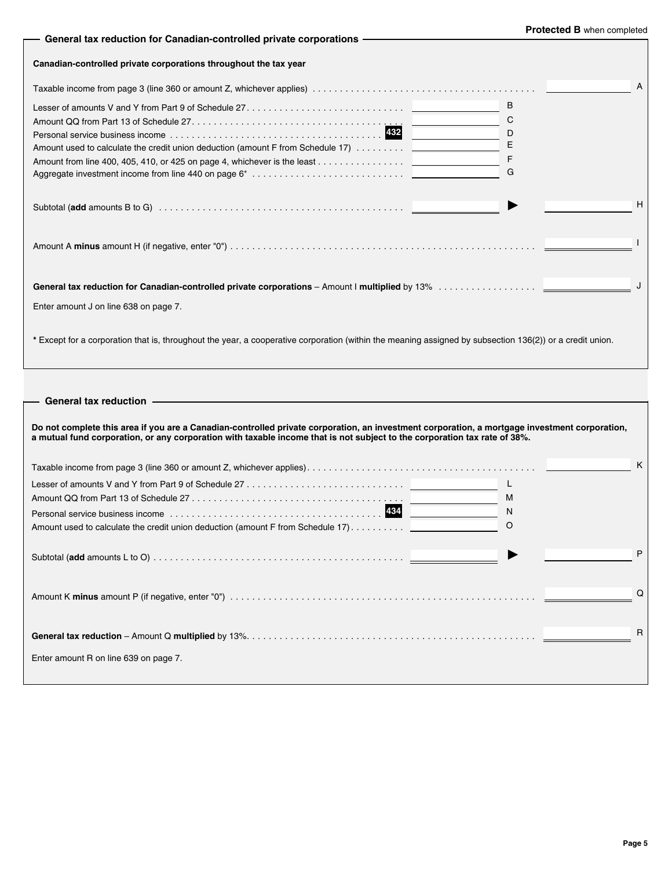| - General tax reduction for Canadian-controlled private corporations -                                                                                                                                                                                                     | Protected B when completed |
|----------------------------------------------------------------------------------------------------------------------------------------------------------------------------------------------------------------------------------------------------------------------------|----------------------------|
| Canadian-controlled private corporations throughout the tax year                                                                                                                                                                                                           |                            |
|                                                                                                                                                                                                                                                                            | A                          |
| B<br>С<br>D<br>E<br>Amount used to calculate the credit union deduction (amount F from Schedule 17)<br>F<br>G                                                                                                                                                              |                            |
|                                                                                                                                                                                                                                                                            | H                          |
|                                                                                                                                                                                                                                                                            |                            |
| Enter amount J on line 638 on page 7.                                                                                                                                                                                                                                      |                            |
| * Except for a corporation that is, throughout the year, a cooperative corporation (within the meaning assigned by subsection 136(2)) or a credit union.                                                                                                                   |                            |
| General tax reduction -                                                                                                                                                                                                                                                    |                            |
| Do not complete this area if you are a Canadian-controlled private corporation, an investment corporation, a mortgage investment corporation,<br>a mutual fund corporation, or any corporation with taxable income that is not subject to the corporation tax rate of 38%. |                            |
|                                                                                                                                                                                                                                                                            | Κ                          |
| L<br>M                                                                                                                                                                                                                                                                     |                            |
| 434<br>N<br>O                                                                                                                                                                                                                                                              |                            |
|                                                                                                                                                                                                                                                                            | P                          |
|                                                                                                                                                                                                                                                                            | Q                          |
|                                                                                                                                                                                                                                                                            | R                          |

Enter amount R on line 639 on page 7.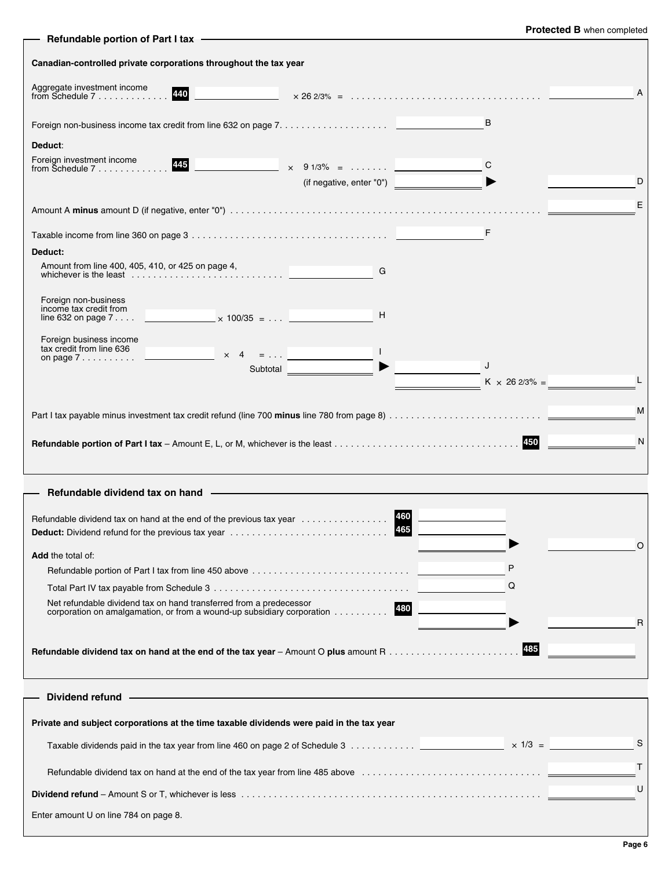| Refundable portion of Part I tax -                                                                                                               |                          |     | Protected B when completed |  |  |  |
|--------------------------------------------------------------------------------------------------------------------------------------------------|--------------------------|-----|----------------------------|--|--|--|
| Canadian-controlled private corporations throughout the tax year                                                                                 |                          |     |                            |  |  |  |
| Aggregate investment income<br>from Schedule 7<br>440                                                                                            |                          |     | A                          |  |  |  |
|                                                                                                                                                  |                          | B   |                            |  |  |  |
| Deduct:<br>Foreign investment income<br>$445$ $\times$ 91/3% =<br>from Schedule $7, \ldots, \ldots, \ldots$                                      | (if negative, enter "0") | C   | D                          |  |  |  |
|                                                                                                                                                  |                          |     | Ε                          |  |  |  |
|                                                                                                                                                  |                          | F   |                            |  |  |  |
| Deduct:                                                                                                                                          |                          |     |                            |  |  |  |
| Amount from line 400, 405, 410, or 425 on page 4,                                                                                                | G                        |     |                            |  |  |  |
| Foreign non-business<br>income tax credit from                                                                                                   | H                        |     |                            |  |  |  |
| Foreign business income<br>tax credit from line 636<br>$\times$ 4 =<br>on page $7 \ldots \ldots \ldots$                                          | $\Box$                   |     |                            |  |  |  |
| Subtotal                                                                                                                                         |                          | J   | $K \times 262/3\% =$       |  |  |  |
| M                                                                                                                                                |                          |     |                            |  |  |  |
|                                                                                                                                                  |                          |     |                            |  |  |  |
|                                                                                                                                                  |                          |     | N                          |  |  |  |
| Refundable dividend tax on hand -                                                                                                                |                          |     |                            |  |  |  |
| Refundable dividend tax on hand at the end of the previous tax year<br><b>Deduct:</b> Dividend refund for the previous tax year                  |                          | 465 |                            |  |  |  |
| Add the total of:                                                                                                                                |                          |     | O                          |  |  |  |
|                                                                                                                                                  |                          |     |                            |  |  |  |
|                                                                                                                                                  |                          |     | Q                          |  |  |  |
| Net refundable dividend tax on hand transferred from a predecessor<br>corporation on amalgamation, or from a wound-up subsidiary corporation 480 |                          |     | R                          |  |  |  |
|                                                                                                                                                  |                          |     | 485                        |  |  |  |
| Dividend refund -                                                                                                                                |                          |     |                            |  |  |  |
| Private and subject corporations at the time taxable dividends were paid in the tax year                                                         |                          |     |                            |  |  |  |
|                                                                                                                                                  |                          |     | S                          |  |  |  |
|                                                                                                                                                  |                          |     | T                          |  |  |  |
|                                                                                                                                                  |                          |     | U                          |  |  |  |
| Enter amount U on line 784 on page 8.                                                                                                            |                          |     |                            |  |  |  |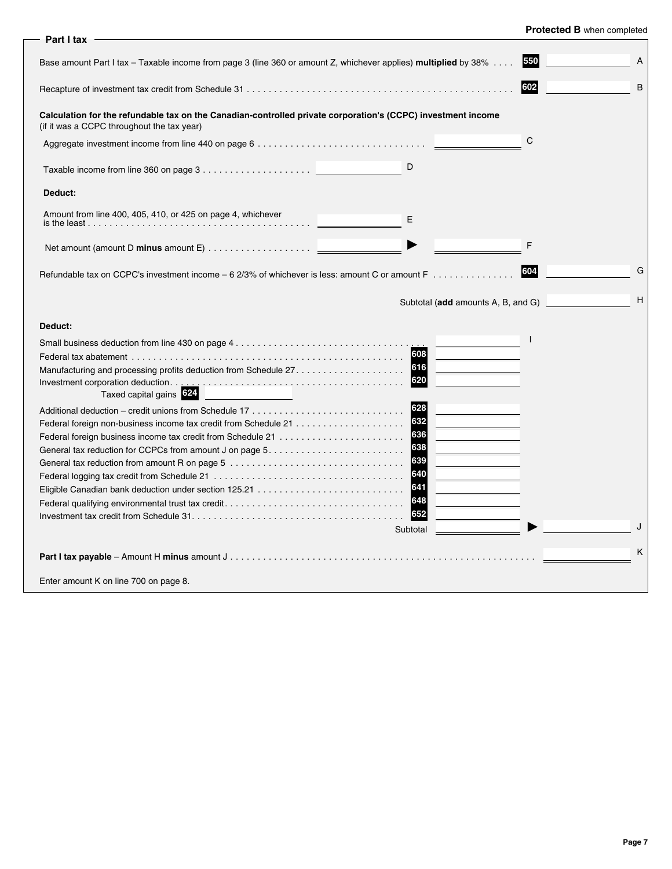| Part I tax                                                                                                                                                                             |                                         |
|----------------------------------------------------------------------------------------------------------------------------------------------------------------------------------------|-----------------------------------------|
| Base amount Part I tax – Taxable income from page 3 (line 360 or amount Z, whichever applies) <b>multiplied</b> by 38%                                                                 | 550<br>A                                |
|                                                                                                                                                                                        | 602<br>B                                |
| Calculation for the refundable tax on the Canadian-controlled private corporation's (CCPC) investment income<br>(if it was a CCPC throughout the tax year)                             |                                         |
|                                                                                                                                                                                        | C                                       |
| D                                                                                                                                                                                      |                                         |
| Deduct:                                                                                                                                                                                |                                         |
| Amount from line 400, 405, 410, or 425 on page 4, whichever<br>E                                                                                                                       |                                         |
|                                                                                                                                                                                        | F                                       |
| Refundable tax on CCPC's investment income – 6 2/3% of whichever is less: amount C or amount F                                                                                         | G<br>604                                |
|                                                                                                                                                                                        | н<br>Subtotal (add amounts A, B, and G) |
| Deduct:                                                                                                                                                                                |                                         |
| 608<br>616<br>Manufacturing and processing profits deduction from Schedule 27<br>620<br>Taxed capital gains 324                                                                        |                                         |
| 628<br>632<br>636<br>638<br>General tax reduction for CCPCs from amount J on page $5. \ldots \ldots \ldots \ldots \ldots \ldots \ldots$<br>639<br>640<br>641<br>648<br>652<br>Subtotal | J                                       |
|                                                                                                                                                                                        | K                                       |
| Enter amount K on line 700 on page 8.                                                                                                                                                  |                                         |